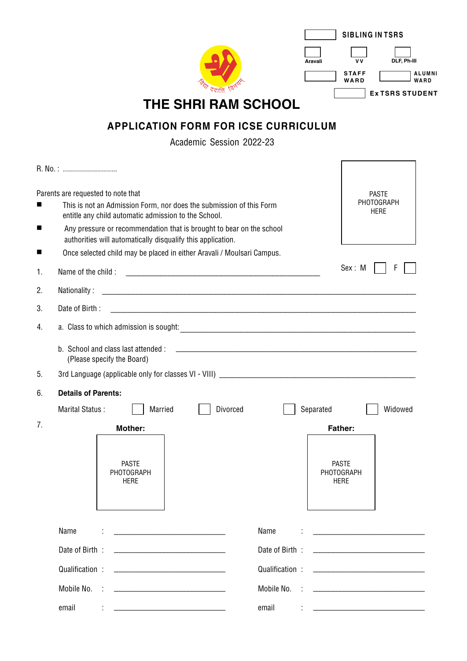|                                             |                                                                                                                                                                                                                                                                          |           | <b>SIBLING IN TSRS</b>                                                          |                                      |  |  |  |  |
|---------------------------------------------|--------------------------------------------------------------------------------------------------------------------------------------------------------------------------------------------------------------------------------------------------------------------------|-----------|---------------------------------------------------------------------------------|--------------------------------------|--|--|--|--|
|                                             |                                                                                                                                                                                                                                                                          | Aravali   | V V<br><b>STAFF</b><br>WARD                                                     | DLF, Ph-III<br><b>ALUMNI</b><br>WARD |  |  |  |  |
|                                             | THE SHRI RAM SCHOOL                                                                                                                                                                                                                                                      |           |                                                                                 | <b>ExTSRS STUDENT</b>                |  |  |  |  |
| <b>APPLICATION FORM FOR ICSE CURRICULUM</b> |                                                                                                                                                                                                                                                                          |           |                                                                                 |                                      |  |  |  |  |
|                                             | Academic Session 2022-23                                                                                                                                                                                                                                                 |           |                                                                                 |                                      |  |  |  |  |
|                                             |                                                                                                                                                                                                                                                                          |           |                                                                                 |                                      |  |  |  |  |
|                                             |                                                                                                                                                                                                                                                                          |           |                                                                                 |                                      |  |  |  |  |
| ■                                           | Parents are requested to note that<br>This is not an Admission Form, nor does the submission of this Form<br>entitle any child automatic admission to the School.                                                                                                        |           | <b>PASTE</b><br>PHOTOGRAPH<br><b>HERE</b>                                       |                                      |  |  |  |  |
| ■                                           | Any pressure or recommendation that is brought to bear on the school<br>authorities will automatically disqualify this application.                                                                                                                                      |           |                                                                                 |                                      |  |  |  |  |
| ■                                           | Once selected child may be placed in either Aravali / Moulsari Campus.                                                                                                                                                                                                   |           | Sex: M                                                                          | F                                    |  |  |  |  |
| 1.                                          | Name of the child :                                                                                                                                                                                                                                                      |           |                                                                                 |                                      |  |  |  |  |
| 2.                                          | Nationality:                                                                                                                                                                                                                                                             |           |                                                                                 |                                      |  |  |  |  |
| 3.                                          | Date of Birth:                                                                                                                                                                                                                                                           |           |                                                                                 |                                      |  |  |  |  |
| 4.                                          |                                                                                                                                                                                                                                                                          |           |                                                                                 |                                      |  |  |  |  |
|                                             | b. School and class last attended :<br><u> 1989 - Johann John Stein, mars an deutscher Stein († 1958)</u><br>(Please specify the Board)                                                                                                                                  |           |                                                                                 |                                      |  |  |  |  |
| 5.                                          |                                                                                                                                                                                                                                                                          |           |                                                                                 |                                      |  |  |  |  |
| 6.                                          | <b>Details of Parents:</b>                                                                                                                                                                                                                                               |           |                                                                                 |                                      |  |  |  |  |
|                                             | Divorced<br>Marital Status:<br>Married                                                                                                                                                                                                                                   | Separated |                                                                                 | Widowed                              |  |  |  |  |
| 7.                                          | <b>Mother:</b>                                                                                                                                                                                                                                                           |           | <b>Father:</b>                                                                  |                                      |  |  |  |  |
|                                             | <b>PASTE</b><br>PHOTOGRAPH<br><b>HERE</b>                                                                                                                                                                                                                                |           | <b>PASTE</b><br>PHOTOGRAPH<br><b>HERE</b>                                       |                                      |  |  |  |  |
|                                             | Name<br>Name<br><u> 1989 - Johann Barbara, martin a</u>                                                                                                                                                                                                                  |           | <u> 1989 - Johann Barbara, martin amerikan basal da</u>                         |                                      |  |  |  |  |
|                                             | Date of Birth:<br>Date of Birth:<br><u> 1989 - Johann Harry Harry Harry Harry Harry Harry Harry Harry Harry Harry Harry Harry Harry Harry Harry Harry Harry Harry Harry Harry Harry Harry Harry Harry Harry Harry Harry Harry Harry Harry Harry Harry Harry Harry Ha</u> |           | the contract of the contract of the contract of the contract of the contract of |                                      |  |  |  |  |
|                                             | Qualification:<br>Qualification:<br>the contract of the contract of the contract of the contract of the contract of                                                                                                                                                      |           | the control of the control of the control of the control of the control of      |                                      |  |  |  |  |
|                                             | Mobile No.<br>Mobile No. :                                                                                                                                                                                                                                               |           |                                                                                 |                                      |  |  |  |  |

 $\overline{\phantom{a}}$ 

email :

email :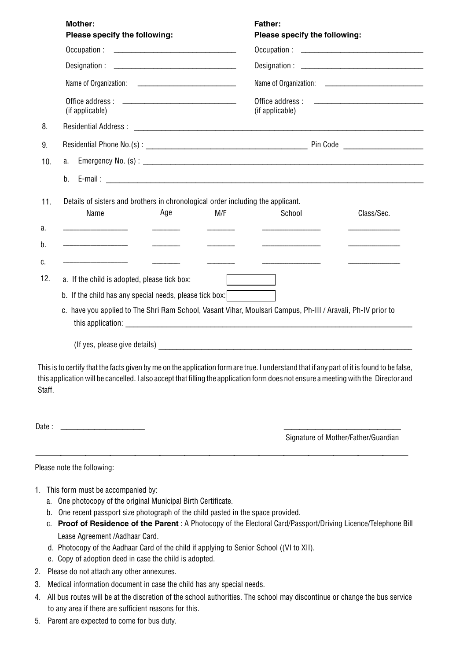|                | <b>Mother:</b><br>Please specify the following:                                                                                                                                                                                                                                                      |     | <b>Father:</b><br>Please specify the following: |                                     |  |  |  |  |
|----------------|------------------------------------------------------------------------------------------------------------------------------------------------------------------------------------------------------------------------------------------------------------------------------------------------------|-----|-------------------------------------------------|-------------------------------------|--|--|--|--|
|                |                                                                                                                                                                                                                                                                                                      |     |                                                 |                                     |  |  |  |  |
|                |                                                                                                                                                                                                                                                                                                      |     |                                                 |                                     |  |  |  |  |
|                |                                                                                                                                                                                                                                                                                                      |     |                                                 |                                     |  |  |  |  |
|                | (if applicable)                                                                                                                                                                                                                                                                                      |     | (if applicable)                                 |                                     |  |  |  |  |
| 8.             |                                                                                                                                                                                                                                                                                                      |     |                                                 |                                     |  |  |  |  |
| 9.             |                                                                                                                                                                                                                                                                                                      |     |                                                 |                                     |  |  |  |  |
| 10.            | a.                                                                                                                                                                                                                                                                                                   |     |                                                 |                                     |  |  |  |  |
|                | b.                                                                                                                                                                                                                                                                                                   |     |                                                 |                                     |  |  |  |  |
| 11.            | Details of sisters and brothers in chronological order including the applicant.                                                                                                                                                                                                                      |     |                                                 |                                     |  |  |  |  |
|                | Name<br>Age                                                                                                                                                                                                                                                                                          | M/F | School                                          | Class/Sec.                          |  |  |  |  |
| a.             |                                                                                                                                                                                                                                                                                                      |     |                                                 |                                     |  |  |  |  |
| b.             |                                                                                                                                                                                                                                                                                                      |     |                                                 |                                     |  |  |  |  |
| C.             |                                                                                                                                                                                                                                                                                                      |     |                                                 |                                     |  |  |  |  |
| 12.            | a. If the child is adopted, please tick box:                                                                                                                                                                                                                                                         |     |                                                 |                                     |  |  |  |  |
|                | b. If the child has any special needs, please tick box:                                                                                                                                                                                                                                              |     |                                                 |                                     |  |  |  |  |
|                | c. have you applied to The Shri Ram School, Vasant Vihar, Moulsari Campus, Ph-III / Aravali, Ph-IV prior to                                                                                                                                                                                          |     |                                                 |                                     |  |  |  |  |
|                | (If yes, please give details) example and the set of the set of the set of the set of the set of the set of the set of the set of the set of the set of the set of the set of the set of the set of the set of the set of the                                                                        |     |                                                 |                                     |  |  |  |  |
| Staff.         | This is to certify that the facts given by me on the application form are true. I understand that if any part of it is found to be false,<br>this application will be cancelled. I also accept that filling the application form does not ensure a meeting with the Director and                     |     |                                                 |                                     |  |  |  |  |
| Date:          |                                                                                                                                                                                                                                                                                                      |     |                                                 | Signature of Mother/Father/Guardian |  |  |  |  |
|                | Please note the following:                                                                                                                                                                                                                                                                           |     |                                                 |                                     |  |  |  |  |
| a.<br>b.<br>C. | 1. This form must be accompanied by:<br>One photocopy of the original Municipal Birth Certificate.<br>One recent passport size photograph of the child pasted in the space provided.<br>Proof of Residence of the Parent : A Photocopy of the Electoral Card/Passport/Driving Licence/Telephone Bill |     |                                                 |                                     |  |  |  |  |

- Lease Agreement /Aadhaar Card.
- d. Photocopy of the Aadhaar Card of the child if applying to Senior School ((VI to XII).
- e. Copy of adoption deed in case the child is adopted.
- 2. Please do not attach any other annexures.
- 3. Medical information document in case the child has any special needs.
- 4. All bus routes will be at the discretion of the school authorities. The school may discontinue or change the bus service to any area if there are sufficient reasons for this.
- 5. Parent are expected to come for bus duty.